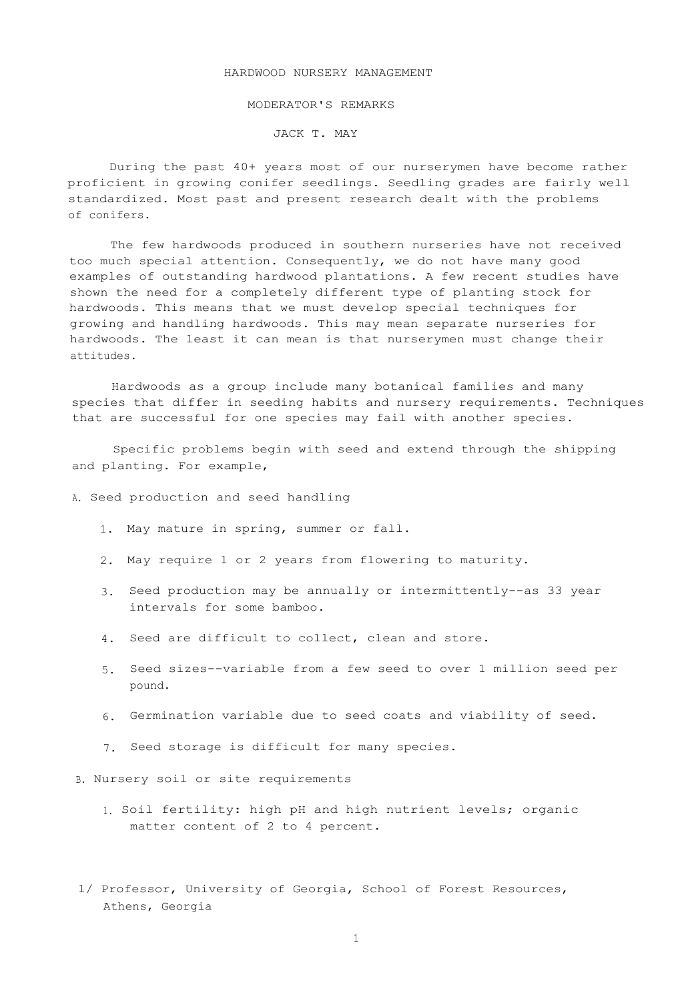## HARDWOOD NURSERY MANAGEMENT

## MODERATOR'S REMARKS

## JACK T. MAY

During the past 40+ years most of our nurserymen have become rather proficient in growing conifer seedlings. Seedling grades are fairly well standardized. Most past and present research dealt with the problems of conifers.

The few hardwoods produced in southern nurseries have not received too much special attention. Consequently, we do not have many good examples of outstanding hardwood plantations. A few recent studies have shown the need for a completely different type of planting stock for hardwoods. This means that we must develop special techniques for growing and handling hardwoods. This may mean separate nurseries for hardwoods. The least it can mean is that nurserymen must change their attitudes.

Hardwoods as a group include many botanical families and many species that differ in seeding habits and nursery requirements. Techniques that are successful for one species may fail with another species.

Specific problems begin with seed and extend through the shipping and planting. For example,

## A. Seed production and seed handling

- 1. May mature in spring, summer or fall.
- 2. May require 1 or 2 years from flowering to maturity.
- 3. Seed production may be annually or intermittently--as 33 year intervals for some bamboo.
- 4. Seed are difficult to collect, clean and store.
- 5. Seed sizes--variable from a few seed to over 1 million seed per pound.
- 6. Germination variable due to seed coats and viability of seed.
- 7. Seed storage is difficult for many species.
- B. Nursery soil or site requirements
	- 1. Soil fertility: high pH and high nutrient levels; organic matter content of 2 to 4 percent.
- 1/ Professor, University of Georgia, School of Forest Resources, Athens, Georgia

1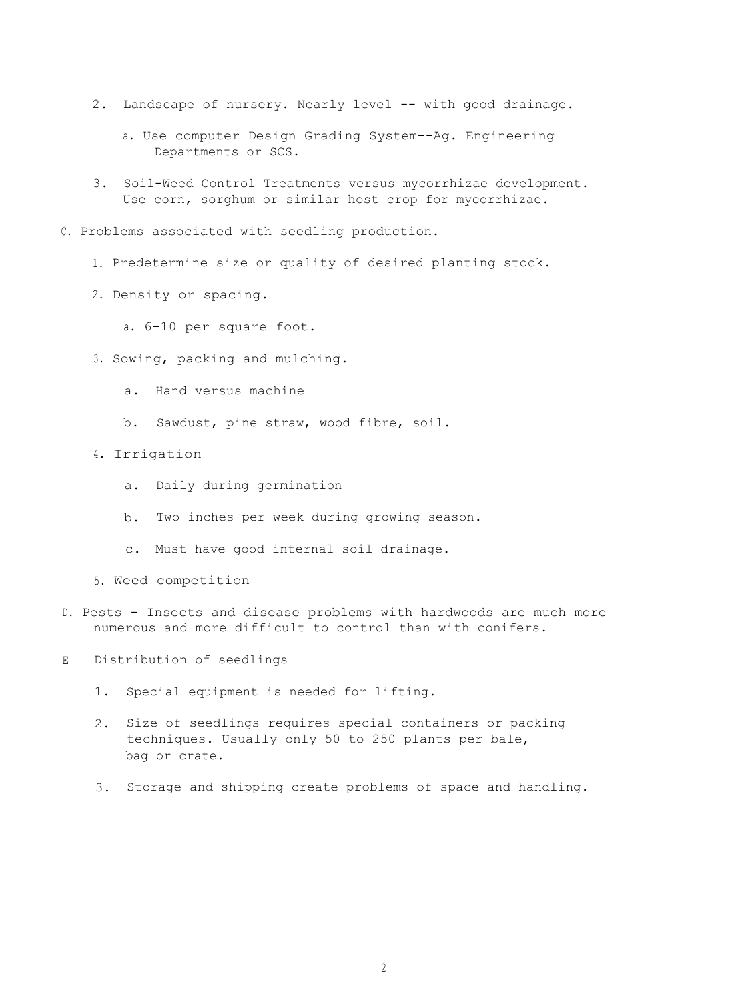- 2. Landscape of nursery. Nearly level -- with good drainage.
	- a. Use computer Design Grading System--Ag. Engineering Departments or SCS.
- 3. Soil-Weed Control Treatments versus mycorrhizae development. Use corn, sorghum or similar host crop for mycorrhizae.
- C. Problems associated with seedling production.
	- 1. Predetermine size or quality of desired planting stock.
	- 2. Density or spacing.

a. 6-10 per square foot.

- 3. Sowing, packing and mulching.
	- a. Hand versus machine
	- b. Sawdust, pine straw, wood fibre, soil.
- 4. Irrigation
	- a. Daily during germination
	- b. Two inches per week during growing season.
	- c. Must have good internal soil drainage.
- 5. Weed competition
- D. Pests Insects and disease problems with hardwoods are much more numerous and more difficult to control than with conifers.

E Distribution of seedlings

- 1. Special equipment is needed for lifting.
- 2. Size of seedlings requires special containers or packing techniques. Usually only 50 to 250 plants per bale, bag or crate.
- 3. Storage and shipping create problems of space and handling.